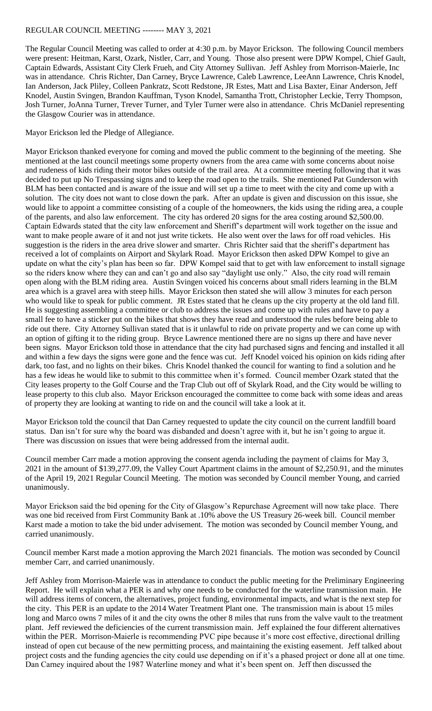## REGULAR COUNCIL MEETING -------- MAY 3, 2021

The Regular Council Meeting was called to order at 4:30 p.m. by Mayor Erickson. The following Council members were present: Heitman, Karst, Ozark, Nistler, Carr, and Young. Those also present were DPW Kompel, Chief Gault, Captain Edwards, Assistant City Clerk Frueh, and City Attorney Sullivan. Jeff Ashley from Morrison-Maierle, Inc was in attendance. Chris Richter, Dan Carney, Bryce Lawrence, Caleb Lawrence, LeeAnn Lawrence, Chris Knodel, Ian Anderson, Jack Pliley, Colleen Pankratz, Scott Redstone, JR Estes, Matt and Lisa Baxter, Einar Anderson, Jeff Knodel, Austin Svingen, Brandon Kauffman, Tyson Knodel, Samantha Trott, Christopher Leckie, Terry Thompson, Josh Turner, JoAnna Turner, Trever Turner, and Tyler Turner were also in attendance. Chris McDaniel representing the Glasgow Courier was in attendance.

Mayor Erickson led the Pledge of Allegiance.

Mayor Erickson thanked everyone for coming and moved the public comment to the beginning of the meeting. She mentioned at the last council meetings some property owners from the area came with some concerns about noise and rudeness of kids riding their motor bikes outside of the trail area. At a committee meeting following that it was decided to put up No Trespassing signs and to keep the road open to the trails. She mentioned Pat Gunderson with BLM has been contacted and is aware of the issue and will set up a time to meet with the city and come up with a solution. The city does not want to close down the park. After an update is given and discussion on this issue, she would like to appoint a committee consisting of a couple of the homeowners, the kids using the riding area, a couple of the parents, and also law enforcement. The city has ordered 20 signs for the area costing around \$2,500.00. Captain Edwards stated that the city law enforcement and Sheriff's department will work together on the issue and want to make people aware of it and not just write tickets. He also went over the laws for off road vehicles. His suggestion is the riders in the area drive slower and smarter. Chris Richter said that the sheriff's department has received a lot of complaints on Airport and Skylark Road. Mayor Erickson then asked DPW Kompel to give an update on what the city's plan has been so far. DPW Kompel said that to get with law enforcement to install signage so the riders know where they can and can't go and also say "daylight use only." Also, the city road will remain open along with the BLM riding area. Austin Svingen voiced his concerns about small riders learning in the BLM area which is a gravel area with steep hills. Mayor Erickson then stated she will allow 3 minutes for each person who would like to speak for public comment. JR Estes stated that he cleans up the city property at the old land fill. He is suggesting assembling a committee or club to address the issues and come up with rules and have to pay a small fee to have a sticker put on the bikes that shows they have read and understood the rules before being able to ride out there. City Attorney Sullivan stated that is it unlawful to ride on private property and we can come up with an option of gifting it to the riding group. Bryce Lawrence mentioned there are no signs up there and have never been signs. Mayor Erickson told those in attendance that the city had purchased signs and fencing and installed it all and within a few days the signs were gone and the fence was cut. Jeff Knodel voiced his opinion on kids riding after dark, too fast, and no lights on their bikes. Chris Knodel thanked the council for wanting to find a solution and he has a few ideas he would like to submit to this committee when it's formed. Council member Ozark stated that the City leases property to the Golf Course and the Trap Club out off of Skylark Road, and the City would be willing to lease property to this club also. Mayor Erickson encouraged the committee to come back with some ideas and areas of property they are looking at wanting to ride on and the council will take a look at it.

Mayor Erickson told the council that Dan Carney requested to update the city council on the current landfill board status. Dan isn't for sure why the board was disbanded and doesn't agree with it, but he isn't going to argue it. There was discussion on issues that were being addressed from the internal audit.

Council member Carr made a motion approving the consent agenda including the payment of claims for May 3, 2021 in the amount of \$139,277.09, the Valley Court Apartment claims in the amount of \$2,250.91, and the minutes of the April 19, 2021 Regular Council Meeting. The motion was seconded by Council member Young, and carried unanimously.

Mayor Erickson said the bid opening for the City of Glasgow's Repurchase Agreement will now take place. There was one bid received from First Community Bank at .10% above the US Treasury 26-week bill. Council member Karst made a motion to take the bid under advisement. The motion was seconded by Council member Young, and carried unanimously.

Council member Karst made a motion approving the March 2021 financials. The motion was seconded by Council member Carr, and carried unanimously.

Jeff Ashley from Morrison-Maierle was in attendance to conduct the public meeting for the Preliminary Engineering Report. He will explain what a PER is and why one needs to be conducted for the waterline transmission main. He will address items of concern, the alternatives, project funding, environmental impacts, and what is the next step for the city. This PER is an update to the 2014 Water Treatment Plant one. The transmission main is about 15 miles long and Marco owns 7 miles of it and the city owns the other 8 miles that runs from the valve vault to the treatment plant. Jeff reviewed the deficiencies of the current transmission main. Jeff explained the four different alternatives within the PER. Morrison-Maierle is recommending PVC pipe because it's more cost effective, directional drilling instead of open cut because of the new permitting process, and maintaining the existing easement. Jeff talked about project costs and the funding agencies the city could use depending on if it's a phased project or done all at one time. Dan Carney inquired about the 1987 Waterline money and what it's been spent on. Jeff then discussed the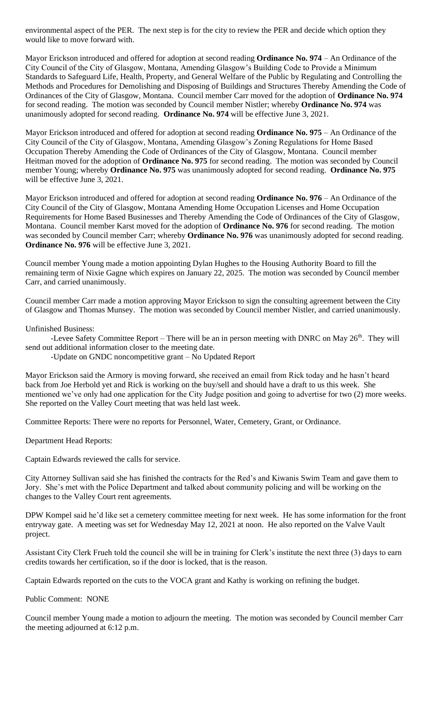environmental aspect of the PER. The next step is for the city to review the PER and decide which option they would like to move forward with.

Mayor Erickson introduced and offered for adoption at second reading **Ordinance No. 974** – An Ordinance of the City Council of the City of Glasgow, Montana, Amending Glasgow's Building Code to Provide a Minimum Standards to Safeguard Life, Health, Property, and General Welfare of the Public by Regulating and Controlling the Methods and Procedures for Demolishing and Disposing of Buildings and Structures Thereby Amending the Code of Ordinances of the City of Glasgow, Montana. Council member Carr moved for the adoption of **Ordinance No. 974** for second reading. The motion was seconded by Council member Nistler; whereby **Ordinance No. 974** was unanimously adopted for second reading. **Ordinance No. 974** will be effective June 3, 2021.

Mayor Erickson introduced and offered for adoption at second reading **Ordinance No. 975** – An Ordinance of the City Council of the City of Glasgow, Montana, Amending Glasgow's Zoning Regulations for Home Based Occupation Thereby Amending the Code of Ordinances of the City of Glasgow, Montana. Council member Heitman moved for the adoption of **Ordinance No. 975** for second reading. The motion was seconded by Council member Young; whereby **Ordinance No. 975** was unanimously adopted for second reading. **Ordinance No. 975** will be effective June 3, 2021.

Mayor Erickson introduced and offered for adoption at second reading **Ordinance No. 976** – An Ordinance of the City Council of the City of Glasgow, Montana Amending Home Occupation Licenses and Home Occupation Requirements for Home Based Businesses and Thereby Amending the Code of Ordinances of the City of Glasgow, Montana. Council member Karst moved for the adoption of **Ordinance No. 976** for second reading. The motion was seconded by Council member Carr; whereby **Ordinance No. 976** was unanimously adopted for second reading. **Ordinance No. 976** will be effective June 3, 2021.

Council member Young made a motion appointing Dylan Hughes to the Housing Authority Board to fill the remaining term of Nixie Gagne which expires on January 22, 2025. The motion was seconded by Council member Carr, and carried unanimously.

Council member Carr made a motion approving Mayor Erickson to sign the consulting agreement between the City of Glasgow and Thomas Munsey. The motion was seconded by Council member Nistler, and carried unanimously.

Unfinished Business:

-Levee Safety Committee Report – There will be an in person meeting with DNRC on May 26<sup>th</sup>. They will send out additional information closer to the meeting date.

-Update on GNDC noncompetitive grant – No Updated Report

Mayor Erickson said the Armory is moving forward, she received an email from Rick today and he hasn't heard back from Joe Herbold yet and Rick is working on the buy/sell and should have a draft to us this week. She mentioned we've only had one application for the City Judge position and going to advertise for two (2) more weeks. She reported on the Valley Court meeting that was held last week.

Committee Reports: There were no reports for Personnel, Water, Cemetery, Grant, or Ordinance.

Department Head Reports:

Captain Edwards reviewed the calls for service.

City Attorney Sullivan said she has finished the contracts for the Red's and Kiwanis Swim Team and gave them to Jory. She's met with the Police Department and talked about community policing and will be working on the changes to the Valley Court rent agreements.

DPW Kompel said he'd like set a cemetery committee meeting for next week. He has some information for the front entryway gate. A meeting was set for Wednesday May 12, 2021 at noon. He also reported on the Valve Vault project.

Assistant City Clerk Frueh told the council she will be in training for Clerk's institute the next three (3) days to earn credits towards her certification, so if the door is locked, that is the reason.

Captain Edwards reported on the cuts to the VOCA grant and Kathy is working on refining the budget.

Public Comment: NONE

Council member Young made a motion to adjourn the meeting. The motion was seconded by Council member Carr the meeting adjourned at 6:12 p.m.